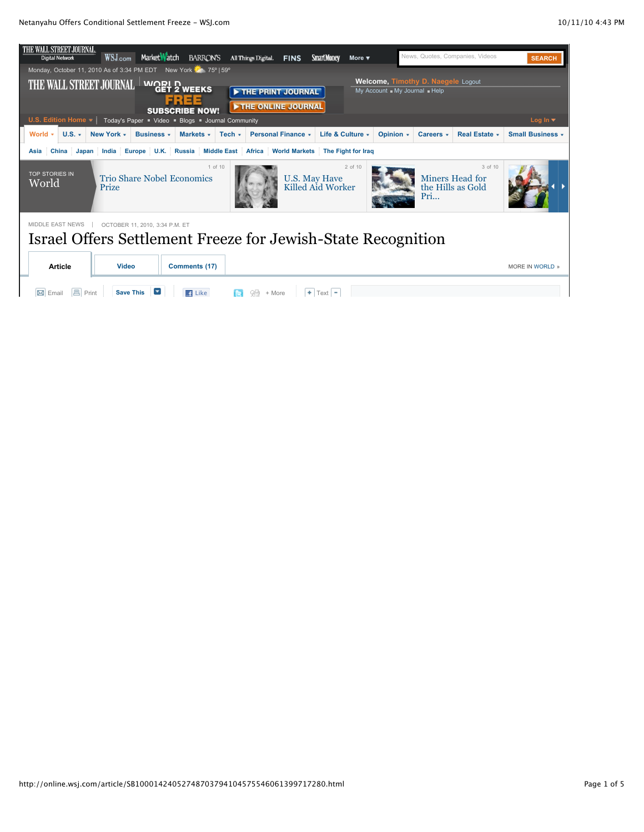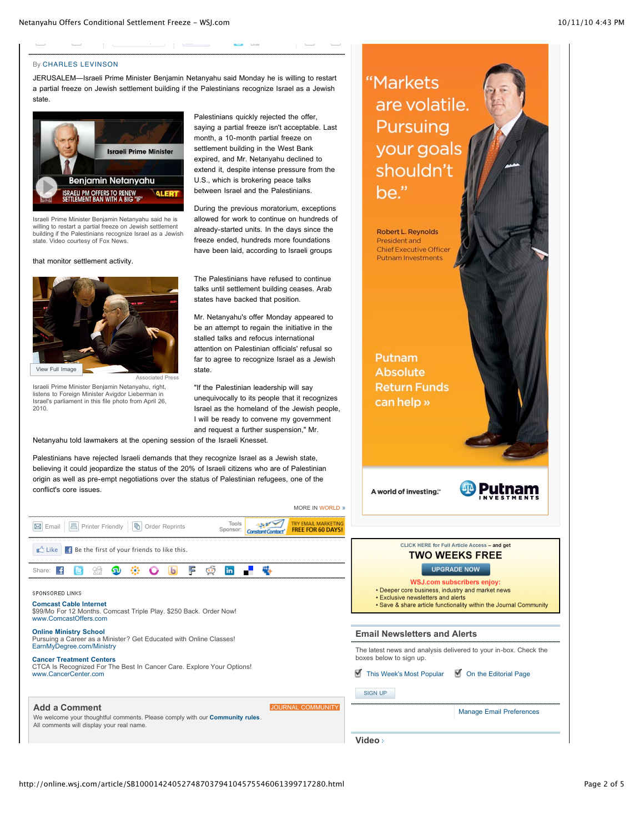**Contract Contract** 

#### By [CHARLES LEVINSON](http://online.wsj.com/search/term.html?KEYWORDS=CHARLES+LEVINSON&bylinesearch=true)

JERUSALEM—Israeli Prime Minister Benjamin Netanyahu said Monday he is willing to restart a partial freeze on Jewish settlement building if the Palestinians recognize Israel as a Jewish state.

and the same state of the same

**Southern Control** 



Israeli Prime Minister Benjamin Netanyahu said he is willing to restart a partial freeze on Jewish settlement building if the Palestinians recognize Israel as a Jewish state. Video courtesy of Fox News.

that monitor settlement activity.



Israeli Prime Minister Benjamin Netanyahu, right, listens to Foreign Minister Avigdor Lieberman in Israel's parliament in this file photo from April 26, 2010.

Palestinians quickly rejected the offer, saying a partial freeze isn't acceptable. Last month, a 10-month partial freeze on settlement building in the West Bank expired, and Mr. Netanyahu declined to extend it, despite intense pressure from the U.S., which is brokering peace talks between Israel and the Palestinians.

 $\gamma \rightarrow -\infty$ 

During the previous moratorium, exceptions allowed for work to continue on hundreds of already-started units. In the days since the freeze ended, hundreds more foundations have been laid, according to Israeli groups

The Palestinians have refused to continue talks until settlement building ceases. Arab states have backed that position.

Mr. Netanyahu's offer Monday appeared to be an attempt to regain the initiative in the stalled talks and refocus international attention on Palestinian officials' refusal so far to agree to recognize Israel as a Jewish state.

"If the Palestinian leadership will say unequivocally to its people that it recognizes Israel as the homeland of the Jewish people, I will be ready to convene my government and request a further suspension," Mr.

MORE IN [WORLD](http://online.wsj.com/public/page/news-global-world.html)

Netanyahu told lawmakers at the opening session of the Israeli Knesset.

Palestinians have rejected Israeli demands that they recognize Israel as a Jewish state, believing it could jeopardize the status of the 20% of Israeli citizens who are of Palestinian origin as well as pre-empt negotiations over the status of Palestinian refugees, one of the conflict's core issues.

| <b>IVIURE IN WURLU ®</b>                                                                                                                                                              |                        |  |  |  |  |
|---------------------------------------------------------------------------------------------------------------------------------------------------------------------------------------|------------------------|--|--|--|--|
| TRY EMAIL MARKETING<br>Tools<br><b>FREE FOR 60 DAYS!</b><br>Sponsor:                                                                                                                  |                        |  |  |  |  |
| <b>E.</b> Be the first of your friends to like this.<br>m <sup>'h</sup> Like                                                                                                          |                        |  |  |  |  |
| Share:<br>lin                                                                                                                                                                         |                        |  |  |  |  |
| SPONSORED LINKS<br><b>Comcast Cable Internet</b><br>\$99/Mo For 12 Months. Comcast Triple Play. \$250 Back. Order Now!<br>www.ComcastOffers.com                                       |                        |  |  |  |  |
| <b>Online Ministry School</b><br>Pursuing a Career as a Minister? Get Educated with Online Classes!<br>EarnMyDegree.com/Ministry                                                      |                        |  |  |  |  |
| <b>Cancer Treatment Centers</b><br>CTCA Is Recognized For The Best In Cancer Care. Explore Your Options!<br>www.CancerCenter.com                                                      | boxes b<br><b>This</b> |  |  |  |  |
| <b>Add a Comment</b><br><b>JOURNAL COMMUNITY</b><br>We welcome your thoughtful comments. Please comply with our <b>Community rules</b> .<br>All comments will display your real name. | <b>SIGN</b>            |  |  |  |  |
|                                                                                                                                                                                       | Video                  |  |  |  |  |

# Putnam **Absolute Return Funds**

"Markets

are volatile.

Pursuing

your goals

shouldn't

Robert L. Reynolds President and Chief Executive Officer **Putnam Investments** 

be."

A world of investing."

can help »

### CLICK HERE for Full Article Access - and get **TWO WEEKS FREE**

### UPGRADE NOW

**WSJ.com subscribers enjoy:** 

- Deeper core business, industry and market news
- Exclusive newsletters and alerts
- Save & share article functionality within the Journal Community

### **Newsletters and Alerts**

est news and analysis delivered to your in-box. Check the elow to sign up.

Week's Most Popular  $\Box$  [On the Editorial Page](http://online.wsj.com/internal/emails/email_morning_otep.htm)

SIGN UP

[Manage Email Preferences](http://online.wsj.com/email)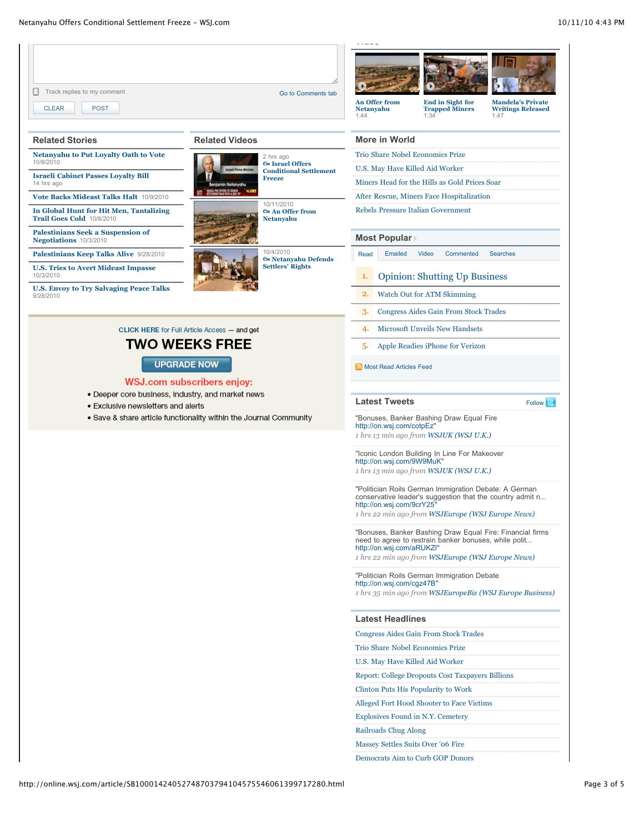| $\Box$ Track replies to my comment<br><b>CLEAR</b><br><b>POST</b>                                                                                            |                                                     | Go to Comments tab                                                         | Netanyahu                                                                                                                                                                                            | An Offer from                                                                                                                                                                                        | <b>End in Sight for</b><br><b>Trapped Miners</b> | <b>Mandela's Private</b><br><b>Writings Released</b> |  |
|--------------------------------------------------------------------------------------------------------------------------------------------------------------|-----------------------------------------------------|----------------------------------------------------------------------------|------------------------------------------------------------------------------------------------------------------------------------------------------------------------------------------------------|------------------------------------------------------------------------------------------------------------------------------------------------------------------------------------------------------|--------------------------------------------------|------------------------------------------------------|--|
|                                                                                                                                                              |                                                     |                                                                            | 1:44                                                                                                                                                                                                 |                                                                                                                                                                                                      | 1:34                                             | 1:47                                                 |  |
| <b>Related Stories</b>                                                                                                                                       | <b>Related Videos</b>                               |                                                                            | <b>More in World</b>                                                                                                                                                                                 |                                                                                                                                                                                                      |                                                  |                                                      |  |
| <b>Netanyahu to Put Loyalty Oath to Vote</b><br>10/8/2010                                                                                                    | 2 hrs ago<br><b>EM Israel Offers</b>                |                                                                            | Trio Share Nobel Economics Prize                                                                                                                                                                     |                                                                                                                                                                                                      |                                                  |                                                      |  |
| <b>Israeli Cabinet Passes Loyalty Bill</b>                                                                                                                   |                                                     | <b>Conditional Settlement</b><br><b>Freeze</b>                             | U.S. May Have Killed Aid Worker                                                                                                                                                                      |                                                                                                                                                                                                      |                                                  |                                                      |  |
| 14 hrs ago                                                                                                                                                   | nin Netanyahu<br><b><i>ENGINORES</i></b>            |                                                                            | Miners Head for the Hills as Gold Prices Soar                                                                                                                                                        |                                                                                                                                                                                                      |                                                  |                                                      |  |
| Vote Backs Mideast Talks Halt 10/9/2010                                                                                                                      |                                                     | 10/11/2010                                                                 |                                                                                                                                                                                                      |                                                                                                                                                                                                      | After Rescue, Miners Face Hospitalization        |                                                      |  |
| In Global Hunt for Hit Men, Tantalizing<br><b>Trail Goes Cold 10/8/2010</b>                                                                                  |                                                     | <b>Ex An Offer from</b><br><b>Netanyahu</b>                                | <b>Rebels Pressure Italian Government</b>                                                                                                                                                            |                                                                                                                                                                                                      |                                                  |                                                      |  |
| <b>Palestinians Seek a Suspension of</b><br>Negotiations 10/3/2010                                                                                           |                                                     |                                                                            |                                                                                                                                                                                                      | <b>Most Popular</b>                                                                                                                                                                                  |                                                  |                                                      |  |
| Palestinians Keep Talks Alive 9/28/2010                                                                                                                      |                                                     | 10/4/2010                                                                  | Emailed<br>Video<br>Commented<br><b>Searches</b><br>Read                                                                                                                                             |                                                                                                                                                                                                      |                                                  |                                                      |  |
| <b>U.S. Tries to Avert Mideast Impasse</b>                                                                                                                   |                                                     | <b><i><u><b>Ö</b></u></i></b> Netanyahu Defends<br><b>Settlers' Rights</b> |                                                                                                                                                                                                      |                                                                                                                                                                                                      |                                                  |                                                      |  |
| 10/3/2010<br><b>U.S. Envoy to Try Salvaging Peace Talks</b>                                                                                                  |                                                     |                                                                            | 1.                                                                                                                                                                                                   |                                                                                                                                                                                                      | <b>Opinion: Shutting Up Business</b>             |                                                      |  |
| 9/28/2010                                                                                                                                                    |                                                     |                                                                            | <b>Watch Out for ATM Skimming</b><br>2.                                                                                                                                                              |                                                                                                                                                                                                      |                                                  |                                                      |  |
|                                                                                                                                                              |                                                     |                                                                            | 3.                                                                                                                                                                                                   |                                                                                                                                                                                                      | <b>Congress Aides Gain From Stock Trades</b>     |                                                      |  |
|                                                                                                                                                              | <b>CLICK HERE for Full Article Access - and get</b> |                                                                            | 4.                                                                                                                                                                                                   |                                                                                                                                                                                                      | <b>Microsoft Unveils New Handsets</b>            |                                                      |  |
|                                                                                                                                                              | TWO WEEKS FREE                                      |                                                                            | Apple Readies iPhone for Verizon<br>5.                                                                                                                                                               |                                                                                                                                                                                                      |                                                  |                                                      |  |
| <b>UPGRADE NOW</b>                                                                                                                                           |                                                     |                                                                            | Most Read Articles Feed                                                                                                                                                                              |                                                                                                                                                                                                      |                                                  |                                                      |  |
|                                                                                                                                                              | <b>WSJ.com subscribers enjoy:</b>                   |                                                                            |                                                                                                                                                                                                      |                                                                                                                                                                                                      |                                                  |                                                      |  |
| • Deeper core business, industry, and market news<br>• Exclusive newsletters and alerts<br>• Save & share article functionality within the Journal Community |                                                     |                                                                            | <b>Latest Tweets</b><br>Follow                                                                                                                                                                       |                                                                                                                                                                                                      |                                                  |                                                      |  |
|                                                                                                                                                              |                                                     |                                                                            | "Bonuses, Banker Bashing Draw Equal Fire<br>http://on.wsj.com/cotpEz"<br>1 hrs 13 min ago from WSJUK (WSJ U.K.)                                                                                      |                                                                                                                                                                                                      |                                                  |                                                      |  |
|                                                                                                                                                              |                                                     |                                                                            |                                                                                                                                                                                                      | "Iconic London Building In Line For Makeover<br>http://on.wsj.com/9W9MuK"<br>1 hrs 13 min ago from WSJUK (WSJ U.K.)                                                                                  |                                                  |                                                      |  |
|                                                                                                                                                              |                                                     |                                                                            |                                                                                                                                                                                                      | "Politician Roils German Immigration Debate: A German<br>conservative leader's suggestion that the country admit n<br>http://on.wsj.com/9crY25"<br>1 hrs 22 min ago from WSJEurope (WSJ Europe News) |                                                  |                                                      |  |
|                                                                                                                                                              |                                                     |                                                                            | "Bonuses, Banker Bashing Draw Equal Fire: Financial firms<br>need to agree to restrain banker bonuses, while polit<br>http://on.wsj.com/aRUKZI"<br>1 hrs 22 min ago from WSJEurope (WSJ Europe News) |                                                                                                                                                                                                      |                                                  |                                                      |  |
|                                                                                                                                                              |                                                     |                                                                            |                                                                                                                                                                                                      | "Politician Roils German Immigration Debate<br>http://on.wsj.com/cgz47B"<br>1 hrs 35 min ago from WSJEuropeBiz (WSJ Europe Business)                                                                 |                                                  |                                                      |  |
|                                                                                                                                                              |                                                     |                                                                            | <b>Latest Headlines</b>                                                                                                                                                                              |                                                                                                                                                                                                      |                                                  |                                                      |  |
|                                                                                                                                                              |                                                     |                                                                            | <b>Congress Aides Gain From Stock Trades</b>                                                                                                                                                         |                                                                                                                                                                                                      |                                                  |                                                      |  |
|                                                                                                                                                              |                                                     |                                                                            | Trio Share Nobel Economics Prize                                                                                                                                                                     |                                                                                                                                                                                                      |                                                  |                                                      |  |
|                                                                                                                                                              |                                                     |                                                                            | U.S. May Have Killed Aid Worker                                                                                                                                                                      |                                                                                                                                                                                                      |                                                  |                                                      |  |
|                                                                                                                                                              |                                                     |                                                                            | <b>Report: College Dropouts Cost Taxpayers Billions</b>                                                                                                                                              |                                                                                                                                                                                                      |                                                  |                                                      |  |
|                                                                                                                                                              |                                                     |                                                                            |                                                                                                                                                                                                      |                                                                                                                                                                                                      | Clinton Puts His Popularity to Work              |                                                      |  |
|                                                                                                                                                              |                                                     |                                                                            | Alleged Fort Hood Shooter to Face Victims                                                                                                                                                            |                                                                                                                                                                                                      |                                                  |                                                      |  |
|                                                                                                                                                              |                                                     |                                                                            |                                                                                                                                                                                                      |                                                                                                                                                                                                      | <b>Explosives Found in N.Y. Cemetery</b>         |                                                      |  |
|                                                                                                                                                              |                                                     |                                                                            |                                                                                                                                                                                                      | Railroads Chug Along                                                                                                                                                                                 |                                                  |                                                      |  |
|                                                                                                                                                              |                                                     |                                                                            |                                                                                                                                                                                                      |                                                                                                                                                                                                      | Massey Settles Suits Over '06 Fire               |                                                      |  |
|                                                                                                                                                              |                                                     |                                                                            | Democrats Aim to Curb GOP Donors                                                                                                                                                                     |                                                                                                                                                                                                      |                                                  |                                                      |  |